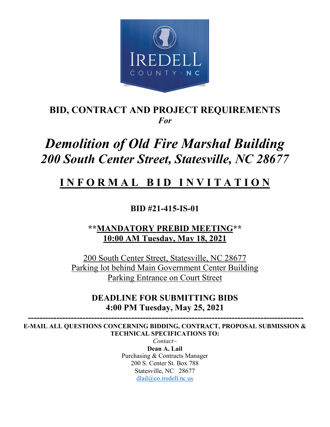

# **BID, CONTRACT AND PROJECT REQUIREMENTS** *For*

# *Demolition of Old Fire Marshal Building 200 South Center Street, Statesville, NC 28677*

# **I N F O R M A L B I D I N V I T A T I O N**

**BID #21-415-IS-01**

# **\*\*MANDATORY PREBID MEETING\*\* 10:00 AM Tuesday, May 18, 2021**

200 South Center Street, Statesville, NC 28677 Parking lot behind Main Government Center Building Parking Entrance on Court Street

# **DEADLINE FOR SUBMITTING BIDS 4:00 PM Tuesday, May 25, 2021**

 **------------------------------------------------------------------------------------------------ E-MAIL ALL QUESTIONS CONCERNING BIDDING, CONTRACT, PROPOSAL SUBMISSION & TECHNICAL SPECIFICATIONS TO:**

> *Contact~* **Dean A. Lail** Purchasing & Contracts Manager 200 S. Center St. Box 788 Statesville, NC 28677 [dlail@co.iredell.nc.us](mailto:dlail@co.iredell.nc.us)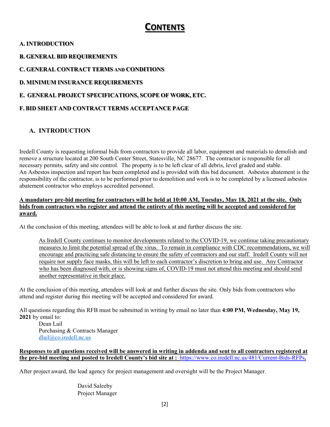# **CONTENTS**

#### **A. INTRODUCTION**

**B. GENERAL BID REQUIREMENTS**

**C. GENERAL CONTRACT TERMS AND CONDITIONS**

**D. MINIMUM INSURANCE REQUIREMENTS**

#### **E. GENERAL PROJECT SPECIFICATIONS, SCOPE OF WORK, ETC.**

### **F. BID SHEET AND CONTRACT TERMS ACCEPTANCE PAGE**

# **A. INTRODUCTION**

Iredell County is requesting informal bids from contractors to provide all labor, equipment and materials to demolish and remove a structure located at 200 South Center Street, Statesville, NC 28677. The contractor is responsible for all necessary permits, safety and site control. The property is to be left clear of all debris, level graded and stable. An Asbestos inspection and report has been completed and is provided with this bid document. Asbestos abatement is the responsibility of the contractor, is to be performed prior to demolition and work is to be completed by a licensed asbestos abatement contractor who employs accredited personnel.

#### **A mandatory pre-bid meeting for contractors will be held at 10:00 AM, Tuesday, May 18, 2021 at the site. Only bids from contractors who register and attend the entirety of this meeting will be accepted and considered for award.**

At the conclusion of this meeting, attendees will be able to look at and further discuss the site.

As Iredell County continues to monitor developments related to the COVID-19, we continue taking precautionary measures to limit the potential spread of the virus. To remain in compliance with CDC recommendations, we will encourage and practicing safe distancing to ensure the safety of contractors and our staff. Iredell County will not require nor supply face masks, this will be left to each contractor's discretion to bring and use. Any Contractor who has been diagnosed with, or is showing signs of, COVID-19 must not attend this meeting and should send another representative in their place.

At the conclusion of this meeting, attendees will look at and further discuss the site. Only bids from contractors who attend and register during this meeting will be accepted and considered for award.

All questions regarding this RFB must be submitted in writing by email no later than **4:00 PM, Wednesday, May 19, 2021** by email to:

Dean Lail Purchasing & Contracts Manager [dlail@co.iredell.nc.us](mailto:dlail@co.iredell.nc.us)

#### **Responses to all questions received will be answered in writing in addenda and sent to all contractors registered at the pre-bid meeting and posted to Iredell County's bid site at :** <https://www.co.iredell.nc.us/481/Current-Bids-RFPs>**.**

After project award, the lead agency for project management and oversight will be the Project Manager.

David Saleeby Project Manager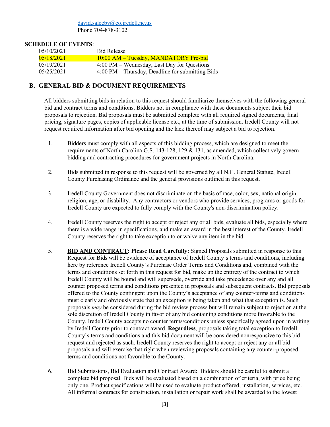[david.saleeby@co.iredell.nc.us](mailto:david.saleeby@co.iredell.nc.us) Phone 704-878-3102

#### **SCHEDULE OF EVENTS**:

| 05/10/2021 | <b>Bid Release</b>                                                 |
|------------|--------------------------------------------------------------------|
| 05/18/2021 | 10:00 AM – Tuesday, MANDATORY Pre-bid                              |
| 05/19/2021 | 4:00 PM – Wednesday, Last Day for Questions                        |
| 05/25/2021 | $4:00 \text{ PM} - \text{Thursday}$ , Deadline for submitting Bids |

#### **B. GENERAL BID & DOCUMENT REQUIREMENTS**

All bidders submitting bids in relation to this request should familiarize themselves with the following general bid and contract terms and conditions. Bidders not in compliance with these documents subject their bid proposals to rejection. Bid proposals must be submitted complete with all required signed documents, final pricing, signature pages, copies of applicable license etc., at the time of submission. Iredell County will not request required information after bid opening and the lack thereof may subject a bid to rejection.

- 1. Bidders must comply with all aspects of this bidding process, which are designed to meet the requirements of North Carolina G.S. 143-128, 129 & 131, as amended, which collectively govern bidding and contracting procedures for government projects in North Carolina.
- 2. Bids submitted in response to this request will be governed by all N.C. General Statute, Iredell County Purchasing Ordinance and the general provisions outlined in this request.
- 3. Iredell County Government does not discriminate on the basis of race, color, sex, national origin, religion, age, or disability. Any contractors or vendors who provide services, programs or goods for Iredell County are expected to fully comply with the County's non-discrimination policy.
- 4. Iredell County reserves the right to accept or reject any or all bids, evaluate all bids, especially where there is a wide range in specifications, and make an award in the best interest of the County. Iredell County reserves the right to take exception to or waive any item in the bid.
- 5. **BID AND CONTRACT: Please Read Carefully:** Signed Proposals submitted in response to this Request for Bids will be evidence of acceptance of Iredell County's terms and conditions, including here by reference Iredell County's Purchase Order Terms and Conditions and, combined with the terms and conditions set forth in this request for bid, make up the entirety of the contract to which Iredell County will be bound and will supersede, override and take precedence over any and all counter proposed terms and conditions presented in proposals and subsequent contracts. Bid proposals offered to the County contingent upon the County's acceptance of any counter-terms and conditions must clearly and obviously state that an exception is being taken and what that exception is. Such proposals *may* be considered during the bid review process but will remain subject to rejection at the sole discretion of Iredell County in favor of any bid containing conditions more favorable to the County. Iredell County accepts no counter terms/conditions unless specifically agreed upon in writing by Iredell County prior to contract award. **Regardless**, proposals taking total exception to Iredell County's terms and conditions and this bid document will be considered nonresponsive to this bid request and rejected as such. Iredell County reserves the right to accept or reject any or all bid proposals and will exercise that right when reviewing proposals containing any counter-proposed terms and conditions not favorable to the County.
- 6. Bid Submissions, Bid Evaluation and Contract Award: Bidders should be careful to submit a complete bid proposal. Bids will be evaluated based on a combination of criteria, with price being only one. Product specifications will be used to evaluate product offered, installation, services, etc. All informal contracts for construction, installation or repair work shall be awarded to the lowest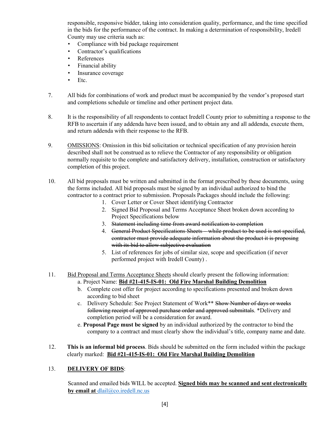responsible, responsive bidder, taking into consideration quality, performance, and the time specified in the bids for the performance of the contract. In making a determination of responsibility, Iredell County may use criteria such as:

- Compliance with bid package requirement
- Contractor's qualifications
- References
- Financial ability
- Insurance coverage
- Etc.
- 7. All bids for combinations of work and product must be accompanied by the vendor's proposed start and completions schedule or timeline and other pertinent project data.
- 8. It is the responsibility of all respondents to contact Iredell County prior to submitting a response to the RFB to ascertain if any addenda have been issued, and to obtain any and all addenda, execute them, and return addenda with their response to the RFB.
- 9. OMISSIONS: Omission in this bid solicitation or technical specification of any provision herein described shall not be construed as to relieve the Contractor of any responsibility or obligation normally requisite to the complete and satisfactory delivery, installation, construction or satisfactory completion of this project.
- 10. All bid proposals must be written and submitted in the format prescribed by these documents, using the forms included. All bid proposals must be signed by an individual authorized to bind the contractor to a contract prior to submission. Proposals Packages should include the following:
	- 1. Cover Letter or Cover Sheet identifying Contractor
	- 2. Signed Bid Proposal and Terms Acceptance Sheet broken down according to Project Specifications below
	- 3. Statement including time from award notification to completion
	- 4. General Product Specifications Sheets while product to be used is not specified, contractor must provide adequate information about the product it is proposing with its bid to allow subjective evaluation
	- 5. List of references for jobs of similar size, scope and specification (if never performed project with Iredell County) .
- 11. Bid Proposal and Terms Acceptance Sheets should clearly present the following information: a. Project Name: **Bid #21-415-IS-01: Old Fire Marshal Building Demolition**
	- b. Complete cost offer for project according to specifications presented and broken down according to bid sheet
	- c. Delivery Schedule: See Project Statement of Work\*\* Show Number of days or weeks following receipt of approved purchase order and approved submittals. \*Delivery and completion period will be a consideration for award.
	- e. **Proposal Page must be signed** by an individual authorized by the contractor to bind the company to a contract and must clearly show the individual's title, company name and date.
- 12. **This is an informal bid process**. Bids should be submitted on the form included within the package clearly marked: **Bid #21-415-IS-01: Old Fire Marshal Building Demolition**

#### 13. **DELIVERY OF BIDS**:

Scanned and emailed bids WILL be accepted. **Signed bids may be scanned and sent electronically by email at** [dlail@co.iredell.nc.us](mailto:dlail@co.iredell.nc.us)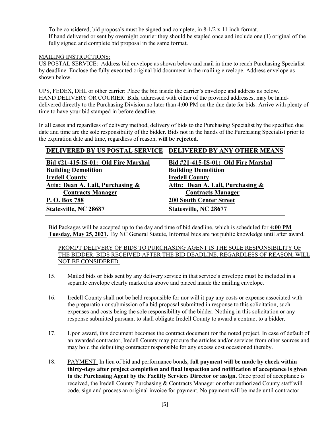To be considered, bid proposals must be signed and complete, in  $8-1/2 \times 11$  inch format. If hand delivered or sent by overnight courier they should be stapled once and include one (1) original of the fully signed and complete bid proposal in the same format.

#### MAILING INSTRUCTIONS:

US POSTAL SERVICE: Address bid envelope as shown below and mail in time to reach Purchasing Specialist by deadline. Enclose the fully executed original bid document in the mailing envelope. Address envelope as shown below.

UPS, FEDEX, DHL or other carrier: Place the bid inside the carrier's envelope and address as below. HAND DELIVERY OR COURIER: Bids, addressed with either of the provided addresses, may be handdelivered directly to the Purchasing Division no later than 4:00 PM on the due date for bids. Arrive with plenty of time to have your bid stamped in before deadline.

In all cases and regardless of delivery method, delivery of bids to the Purchasing Specialist by the specified due date and time are the sole responsibility of the bidder. Bids not in the hands of the Purchasing Specialist prior to the expiration date and time, regardless of reason, **will be rejected**.

| DELIVERED BY US POSTAL SERVICE      | <b>DELIVERED BY ANY OTHER MEANS</b> |
|-------------------------------------|-------------------------------------|
| Bid #21-415-IS-01: Old Fire Marshal | Bid #21-415-IS-01: Old Fire Marshal |
| <b>Building Demolition</b>          | <b>Building Demolition</b>          |
| <b>Iredell County</b>               | <b>Iredell County</b>               |
| Attn: Dean A. Lail, Purchasing &    | Attn: Dean A. Lail, Purchasing &    |
| <b>Contracts Manager</b>            | <b>Contracts Manager</b>            |
| P. O. Box 788                       | <b>200 South Center Street</b>      |
| Statesville, NC 28687               | Statesville, NC 28677               |

Bid Packages will be accepted up to the day and time of bid deadline, which is scheduled for **4:00 PM Tuesday, May 25, 2021.** By NC General Statute, Informal bids are not public knowledge until after award.

PROMPT DELIVERY OF BIDS TO PURCHASING AGENT IS THE SOLE RESPONSIBILITY OF THE BIDDER. BIDS RECEIVED AFTER THE BID DEADLINE, REGARDLESS OF REASON, WILL NOT BE CONSIDERED.

- 15. Mailed bids or bids sent by any delivery service in that service's envelope must be included in a separate envelope clearly marked as above and placed inside the mailing envelope.
- 16. Iredell County shall not be held responsible for nor will it pay any costs or expense associated with the preparation or submission of a bid proposal submitted in response to this solicitation, such expenses and costs being the sole responsibility of the bidder. Nothing in this solicitation or any response submitted pursuant to shall obligate Iredell County to award a contract to a bidder.
- 17. Upon award, this document becomes the contract document for the noted project. In case of default of an awarded contractor, Iredell County may procure the articles and/or services from other sources and may hold the defaulting contractor responsible for any excess cost occasioned thereby.
- 18. PAYMENT: In lieu of bid and performance bonds, **full payment will be made by check within thirty-days after project completion and final inspection and notification of acceptance is given to the Purchasing Agent by the Facility Services Director or assign.** Once proof of acceptance is received, the Iredell County Purchasing & Contracts Manager or other authorized County staff will code, sign and process an original invoice for payment. No payment will be made until contractor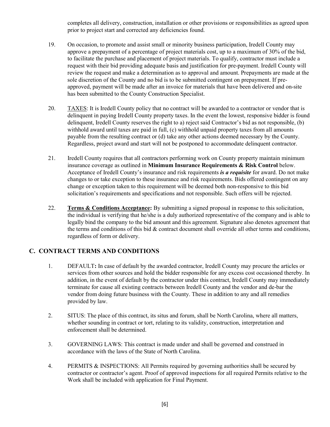completes all delivery, construction, installation or other provisions or responsibilities as agreed upon prior to project start and corrected any deficiencies found.

- 19. On occasion, to promote and assist small or minority business participation, Iredell County may approve a prepayment of a percentage of project materials cost, up to a maximum of 30% of the bid, to facilitate the purchase and placement of project materials. To qualify, contractor must include a request with their bid providing adequate basis and justification for pre-payment. Iredell County will review the request and make a determination as to approval and amount. Prepayments are made at the sole discretion of the County and no bid is to be submitted contingent on prepayment. If preapproved, payment will be made after an invoice for materials that have been delivered and on-site has been submitted to the County Construction Specialist.
- 20. TAXES: It is Iredell County policy that no contract will be awarded to a contractor or vendor that is delinquent in paying Iredell County property taxes. In the event the lowest, responsive bidder is found delinquent, Iredell County reserves the right to a) reject said Contractor's bid as not responsible, (b) withhold award until taxes are paid in full, (c) withhold unpaid property taxes from all amounts payable from the resulting contract or (d) take any other actions deemed necessary by the County. Regardless, project award and start will not be postponed to accommodate delinquent contractor.
- 21. Iredell County requires that all contractors performing work on County property maintain minimum insurance coverage as outlined in **Minimum Insurance Requirements & Risk Control** below. Acceptance of Iredell County's insurance and risk requirements *is a requisite* for award. Do not make changes to or take exception to these insurance and risk requirements. Bids offered contingent on any change or exception taken to this requirement will be deemed both non-responsive to this bid solicitation's requirements and specifications and not responsible. Such offers will be rejected.
- 22. **Terms & Conditions Acceptance:** By submitting a signed proposal in response to this solicitation, the individual is verifying that he/she is a duly authorized representative of the company and is able to legally bind the company to the bid amount and this agreement. Signature also denotes agreement that the terms and conditions of this bid & contract document shall override all other terms and conditions, regardless of form or delivery.

## **C. CONTRACT TERMS AND CONDITIONS**

- 1. DEFAULT**:** In case of default by the awarded contractor, Iredell County may procure the articles or services from other sources and hold the bidder responsible for any excess cost occasioned thereby. In addition, in the event of default by the contractor under this contract, Iredell County may immediately terminate for cause all existing contracts between Iredell County and the vendor and de-bar the vendor from doing future business with the County. These in addition to any and all remedies provided by law.
- 2. SITUS: The place of this contract, its situs and forum, shall be North Carolina, where all matters, whether sounding in contract or tort, relating to its validity, construction, interpretation and enforcement shall be determined.
- 3. GOVERNING LAWS: This contract is made under and shall be governed and construed in accordance with the laws of the State of North Carolina.
- 4. PERMITS & INSPECTIONS: All Permits required by governing authorities shall be secured by contractor or contractor's agent. Proof of approved inspections for all required Permits relative to the Work shall be included with application for Final Payment.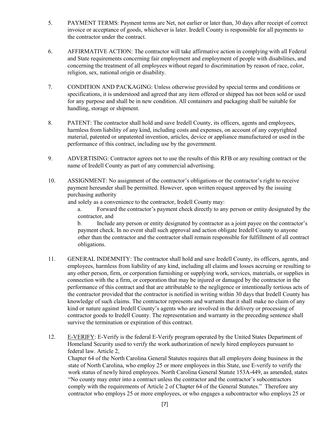- 5. PAYMENT TERMS: Payment terms are Net, not earlier or later than, 30 days after receipt of correct invoice or acceptance of goods, whichever is later. Iredell County is responsible for all payments to the contractor under the contract.
- 6. AFFIRMATIVE ACTION: The contractor will take affirmative action in complying with all Federal and State requirements concerning fair employment and employment of people with disabilities, and concerning the treatment of all employees without regard to discrimination by reason of race, color, religion, sex, national origin or disability.
- 7. CONDITION AND PACKAGING: Unless otherwise provided by special terms and conditions or specifications, it is understood and agreed that any item offered or shipped has not been sold or used for any purpose and shall be in new condition. All containers and packaging shall be suitable for handling, storage or shipment.
- 8. PATENT: The contractor shall hold and save Iredell County, its officers, agents and employees, harmless from liability of any kind, including costs and expenses, on account of any copyrighted material, patented or unpatented invention, articles, device or appliance manufactured or used in the performance of this contract, including use by the government.
- 9. ADVERTISING: Contractor agrees not to use the results of this RFB or any resulting contract or the name of Iredell County as part of any commercial advertising.
- 10. ASSIGNMENT: No assignment of the contractor's obligations or the contractor's right to receive payment hereunder shall be permitted. However, upon written request approved by the issuing purchasing authority

and solely as a convenience to the contractor, Iredell County may:

a. Forward the contractor's payment check directly to any person or entity designated by the contractor, and

b. Include any person or entity designated by contractor as a joint payee on the contractor's payment check. In no event shall such approval and action obligate Iredell County to anyone other than the contractor and the contractor shall remain responsible for fulfillment of all contract obligations.

- 11. GENERAL INDEMNITY: The contractor shall hold and save Iredell County, its officers, agents, and employees, harmless from liability of any kind, including all claims and losses accruing or resulting to any other person, firm, or corporation furnishing or supplying work, services, materials, or supplies in connection with the a firm, or corporation that may be injured or damaged by the contractor in the performance of this contract and that are attributable to the negligence or intentionally tortious acts of the contractor provided that the contractor is notified in writing within 30 days that Iredell County has knowledge of such claims. The contractor represents and warrants that it shall make no claim of any kind or nature against Iredell County's agents who are involved in the delivery or processing of contractor goods to Iredell County. The representation and warranty in the preceding sentence shall survive the termination or expiration of this contract.
- 12. E-VERIFY: E-Verify is the federal E-Verify program operated by the United States Department of Homeland Security used to verify the work authorization of newly hired employees pursuant to federal law. Article 2,

Chapter 64 of the North Carolina General Statutes requires that all employers doing business in the state of North Carolina, who employ 25 or more employees in this State, use E-verify to verify the work status of newly hired employees. North Carolina General Statute 153A-449, as amended, states "No county may enter into a contract unless the contractor and the contractor's subcontractors comply with the requirements of Article 2 of Chapter 64 of the General Statutes." Therefore any contractor who employs 25 or more employees, or who engages a subcontractor who employs 25 or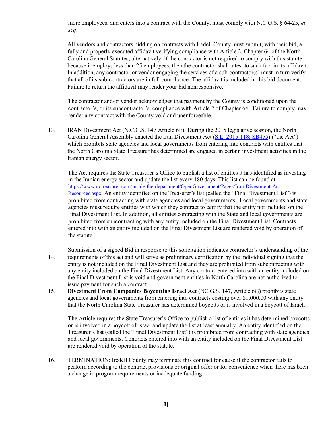more employees, and enters into a contract with the County, must comply with N.C.G.S. § 64-25, *et seq*.

 All vendors and contractors bidding on contracts with Iredell County must submit, with their bid, a fully and properly executed affidavit verifying compliance with Article 2, Chapter 64 of the North Carolina General Statutes; alternatively, if the contractor is not required to comply with this statute because it employs less than 25 employees, then the contractor shall attest to such fact in its affidavit. In addition, any contractor or vendor engaging the services of a sub-contractor(s) must in turn verify that all of its sub-contractors are in full compliance. The affidavit is included in this bid document. Failure to return the affidavit may render your bid nonresponsive.

The contractor and/or vendor acknowledges that payment by the County is conditioned upon the contractor's, or its subcontractor's, compliance with Article 2 of Chapter 64. Failure to comply may render any contract with the County void and unenforceable.

13. IRAN Divestment Act (N.C.G.S. 147 Article 6E): During the 2015 legislative session, the North Carolina General Assembly enacted the Iran Divestment Act [\(S.L. 2015-118; SB455\)](http://www.ncleg.net/Sessions/2015/Bills/Senate/HTML/S455v5.html) ("the Act") which prohibits state agencies and local governments from entering into contracts with entities that the North Carolina State Treasurer has determined are engaged in certain investment activities in the Iranian energy sector.

The Act requires the State Treasurer's Office to publish a list of entities it has identified as investing in the Iranian energy sector and update the list every 180 days. This list can be found at [https://www.nctreasurer.com/inside-the-department/OpenGovernment/Pages/Iran-Divestment-Act-](https://www.nctreasurer.com/inside-the-department/OpenGovernment/Pages/Iran-Divestment-Act-Resources.aspx)[Resources.aspx.](https://www.nctreasurer.com/inside-the-department/OpenGovernment/Pages/Iran-Divestment-Act-Resources.aspx) An entity identified on the Treasurer's list (called the "Final Divestment List") is prohibited from contracting with state agencies and local governments. Local governments and state agencies must require entities with which they contract to certify that the entity not included on the Final Divestment List. In addition, all entities contracting with the State and local governments are prohibited from subcontracting with any entity included on the Final Divestment List. Contracts entered into with an entity included on the Final Divestment List are rendered void by operation of the statute.

Submission of a signed Bid in response to this solicitation indicates contractor's understanding of the 14. requirements of this act and will serve as preliminary certification by the individual signing that the entity is not included on the Final Divestment List and they are prohibited from subcontracting with any entity included on the Final Divestment List. Any contract entered into with an entity included on the Final Divestment List is void and government entities in North Carolina are not authorized to issue payment for such a contract.

15. **Divestment From Companies Boycotting Israel Act** (NC G.S. 147, Article 6G) prohibits state agencies and local governments from entering into contracts costing over \$1,000.00 with any entity that the North Carolina State Treasurer has determined boycotts or is involved in a boycott of Israel.

The Article requires the State Treasurer's Office to publish a list of entities it has determined boycotts or is involved in a boycott of Israel and update the list at least annually. An entity identified on the Treasurer's list (called the "Final Divestment List") is prohibited from contracting with state agencies and local governments. Contracts entered into with an entity included on the Final Divestment List are rendered void by operation of the statute.

16. TERMINATION: Iredell County may terminate this contract for cause if the contractor fails to perform according to the contract provisions or original offer or for convenience when there has been a change in program requirements or inadequate funding.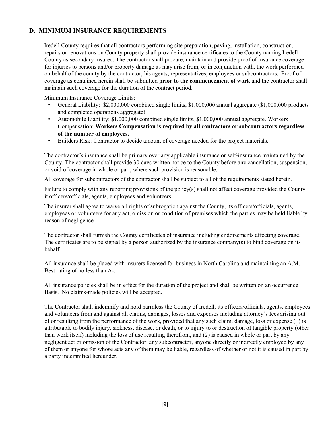## **D. MINIMUM INSURANCE REQUIREMENTS**

Iredell County requires that all contractors performing site preparation, paving, installation, construction, repairs or renovations on County property shall provide insurance certificates to the County naming Iredell County as secondary insured. The contractor shall procure, maintain and provide proof of insurance coverage for injuries to persons and/or property damage as may arise from, or in conjunction with, the work performed on behalf of the county by the contractor, his agents, representatives, employees or subcontractors. Proof of coverage as contained herein shall be submitted **prior to the commencement of work** and the contractor shall maintain such coverage for the duration of the contract period.

Minimum Insurance Coverage Limits:

- General Liability: \$2,000,000 combined single limits, \$1,000,000 annual aggregate (\$1,000,000 products and completed operations aggregate)
- Automobile Liability: \$1,000,000 combined single limits, \$1,000,000 annual aggregate. Workers Compensation: **Workers Compensation is required by all contractors or subcontractors regardless of the number of employees.**
- Builders Risk: Contractor to decide amount of coverage needed for the project materials.

The contractor's insurance shall be primary over any applicable insurance or self-insurance maintained by the County. The contractor shall provide 30 days written notice to the County before any cancellation, suspension, or void of coverage in whole or part, where such provision is reasonable.

All coverage for subcontractors of the contractor shall be subject to all of the requirements stated herein.

Failure to comply with any reporting provisions of the policy(s) shall not affect coverage provided the County, it officers/officials, agents, employees and volunteers.

The insurer shall agree to waive all rights of subrogation against the County, its officers/officials, agents, employees or volunteers for any act, omission or condition of premises which the parties may be held liable by reason of negligence.

The contractor shall furnish the County certificates of insurance including endorsements affecting coverage. The certificates are to be signed by a person authorized by the insurance company(s) to bind coverage on its behalf.

All insurance shall be placed with insurers licensed for business in North Carolina and maintaining an A.M. Best rating of no less than A-.

All insurance policies shall be in effect for the duration of the project and shall be written on an occurrence Basis. No claims-made policies will be accepted.

The Contractor shall indemnify and hold harmless the County of Iredell, its officers/officials, agents, employees and volunteers from and against all claims, damages, losses and expenses including attorney's fees arising out of or resulting from the performance of the work, provided that any such claim, damage, loss or expense (1) is attributable to bodily injury, sickness, disease, or death, or to injury to or destruction of tangible property (other than work itself) including the loss of use resulting therefrom, and (2) is caused in whole or part by any negligent act or omission of the Contractor, any subcontractor, anyone directly or indirectly employed by any of them or anyone for whose acts any of them may be liable, regardless of whether or not it is caused in part by a party indemnified hereunder.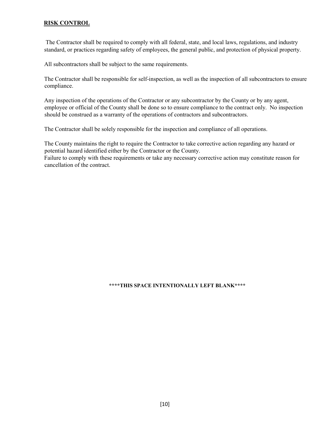#### **RISK CONTROL**

The Contractor shall be required to comply with all federal, state, and local laws, regulations, and industry standard, or practices regarding safety of employees, the general public, and protection of physical property.

All subcontractors shall be subject to the same requirements.

The Contractor shall be responsible for self-inspection, as well as the inspection of all subcontractors to ensure compliance.

Any inspection of the operations of the Contractor or any subcontractor by the County or by any agent, employee or official of the County shall be done so to ensure compliance to the contract only. No inspection should be construed as a warranty of the operations of contractors and subcontractors.

The Contractor shall be solely responsible for the inspection and compliance of all operations.

The County maintains the right to require the Contractor to take corrective action regarding any hazard or potential hazard identified either by the Contractor or the County.

Failure to comply with these requirements or take any necessary corrective action may constitute reason for cancellation of the contract.

#### **\*\*\*\*THIS SPACE INTENTIONALLY LEFT BLANK\*\*\*\***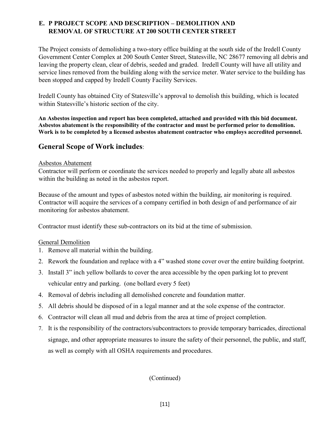# **E. P PROJECT SCOPE AND DESCRIPTION – DEMOLITION AND REMOVAL OF STRUCTURE AT 200 SOUTH CENTER STREET**

The Project consists of demolishing a two-story office building at the south side of the Iredell County Government Center Complex at 200 South Center Street, Statesville, NC 28677 removing all debris and leaving the property clean, clear of debris, seeded and graded. Iredell County will have all utility and service lines removed from the building along with the service meter. Water service to the building has been stopped and capped by Iredell County Facility Services.

Iredell County has obtained City of Statesville's approval to demolish this building, which is located within Statesville's historic section of the city.

**An Asbestos inspection and report has been completed, attached and provided with this bid document. Asbestos abatement is the responsibility of the contractor and must be performed prior to demolition. Work is to be completed by a licensed asbestos abatement contractor who employs accredited personnel.** 

# **General Scope of Work includes**:

#### Asbestos Abatement

Contractor will perform or coordinate the services needed to properly and legally abate all asbestos within the building as noted in the asbestos report.

Because of the amount and types of asbestos noted within the building, air monitoring is required. Contractor will acquire the services of a company certified in both design of and performance of air monitoring for asbestos abatement.

Contractor must identify these sub-contractors on its bid at the time of submission.

### General Demolition

- 1. Remove all material within the building.
- 2. Rework the foundation and replace with a 4" washed stone cover over the entire building footprint.
- 3. Install 3" inch yellow bollards to cover the area accessible by the open parking lot to prevent vehicular entry and parking. (one bollard every 5 feet)
- 4. Removal of debris including all demolished concrete and foundation matter.
- 5. All debris should be disposed of in a legal manner and at the sole expense of the contractor.
- 6. Contractor will clean all mud and debris from the area at time of project completion.
- 7. It is the responsibility of the contractors/subcontractors to provide temporary barricades, directional signage, and other appropriate measures to insure the safety of their personnel, the public, and staff, as well as comply with all OSHA requirements and procedures.

(Continued)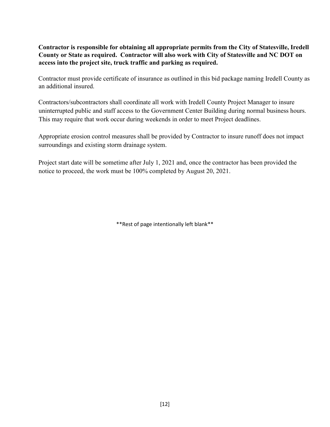## **Contractor is responsible for obtaining all appropriate permits from the City of Statesville, Iredell County or State as required. Contractor will also work with City of Statesville and NC DOT on access into the project site, truck traffic and parking as required.**

Contractor must provide certificate of insurance as outlined in this bid package naming Iredell County as an additional insured.

Contractors/subcontractors shall coordinate all work with Iredell County Project Manager to insure uninterrupted public and staff access to the Government Center Building during normal business hours. This may require that work occur during weekends in order to meet Project deadlines.

Appropriate erosion control measures shall be provided by Contractor to insure runoff does not impact surroundings and existing storm drainage system.

Project start date will be sometime after July 1, 2021 and, once the contractor has been provided the notice to proceed, the work must be 100% completed by August 20, 2021.

\*\*Rest of page intentionally left blank\*\*